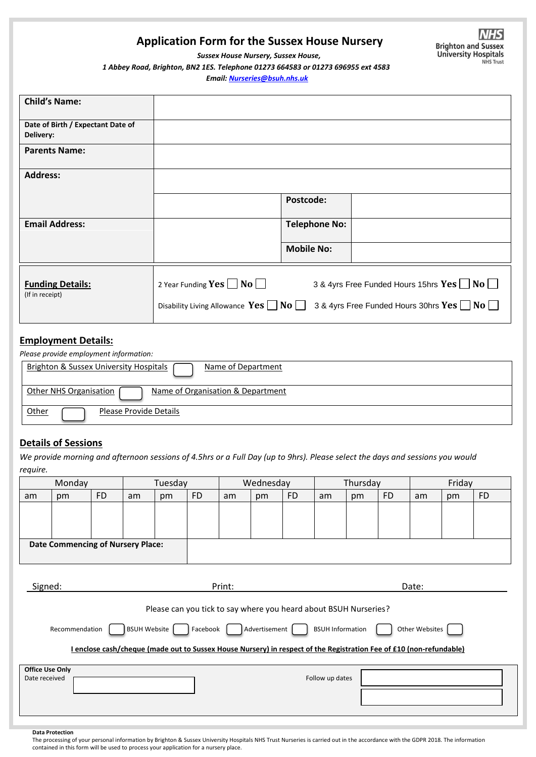## **Application Form for the Sussex House Nursery**

 *Sussex House Nursery, Sussex House, 1 Abbey Road, Brighton, BN2 1ES. Telephone 01273 664583 or 01273 696955 ext 4583*

 *Email[: Nurseries@bsuh.nhs.uk](mailto:Nurseries@bsuh.nhs.uk)*

| <b>Child's Name:</b>                           |                                                                                     |                                                                                                            |
|------------------------------------------------|-------------------------------------------------------------------------------------|------------------------------------------------------------------------------------------------------------|
| Date of Birth / Expectant Date of<br>Delivery: |                                                                                     |                                                                                                            |
| <b>Parents Name:</b>                           |                                                                                     |                                                                                                            |
| <b>Address:</b>                                |                                                                                     |                                                                                                            |
|                                                | Postcode:                                                                           |                                                                                                            |
| <b>Email Address:</b>                          | <b>Telephone No:</b>                                                                |                                                                                                            |
|                                                | <b>Mobile No:</b>                                                                   |                                                                                                            |
| <b>Funding Details:</b><br>(If in receipt)     | 2 Year Funding $Yes \Box No \Box$<br>Disability Living Allowance $Yes \Box No \Box$ | 3 & 4yrs Free Funded Hours 15hrs $Yes \Box No \Box$<br>3 & 4yrs Free Funded Hours 30hrs $Yes \Box No \Box$ |

### **Employment Details:**

| Please provide employment information:                         |  |  |  |  |  |
|----------------------------------------------------------------|--|--|--|--|--|
| Brighton & Sussex University Hospitals (<br>Name of Department |  |  |  |  |  |
| Name of Organisation & Department<br>Other NHS Organisation [  |  |  |  |  |  |
| Other<br>Please Provide Details                                |  |  |  |  |  |

### **Details of Sessions**

*We provide morning and afternoon sessions of 4.5hrs or a Full Day (up to 9hrs). Please select the days and sessions you would require.*

| Monday                                                                                                              |    |           | Tuesday |    |           | Wednesday |    |           | Thursday |    |           | Friday |    |           |  |
|---------------------------------------------------------------------------------------------------------------------|----|-----------|---------|----|-----------|-----------|----|-----------|----------|----|-----------|--------|----|-----------|--|
| am                                                                                                                  | pm | <b>FD</b> | am      | pm | <b>FD</b> | am        | pm | <b>FD</b> | am       | pm | <b>FD</b> | am     | pm | <b>FD</b> |  |
|                                                                                                                     |    |           |         |    |           |           |    |           |          |    |           |        |    |           |  |
|                                                                                                                     |    |           |         |    |           |           |    |           |          |    |           |        |    |           |  |
|                                                                                                                     |    |           |         |    |           |           |    |           |          |    |           |        |    |           |  |
| <b>Date Commencing of Nursery Place:</b>                                                                            |    |           |         |    |           |           |    |           |          |    |           |        |    |           |  |
|                                                                                                                     |    |           |         |    |           |           |    |           |          |    |           |        |    |           |  |
|                                                                                                                     |    |           |         |    |           |           |    |           |          |    |           |        |    |           |  |
| Signed:                                                                                                             |    |           |         |    |           | Print:    |    |           |          |    | Date:     |        |    |           |  |
|                                                                                                                     |    |           |         |    |           |           |    |           |          |    |           |        |    |           |  |
| Please can you tick to say where you heard about BSUH Nurseries?                                                    |    |           |         |    |           |           |    |           |          |    |           |        |    |           |  |
|                                                                                                                     |    |           |         |    |           |           |    |           |          |    |           |        |    |           |  |
| BSUH Website<br>Other Websites<br>Advertisement  <br><b>BSUH Information</b><br>Recommendation<br>Facebook          |    |           |         |    |           |           |    |           |          |    |           |        |    |           |  |
| I enclose cash/cheque (made out to Sussex House Nursery) in respect of the Registration Fee of £10 (non-refundable) |    |           |         |    |           |           |    |           |          |    |           |        |    |           |  |
|                                                                                                                     |    |           |         |    |           |           |    |           |          |    |           |        |    |           |  |
| <b>Office Use Only</b><br>Follow up dates<br>Date received                                                          |    |           |         |    |           |           |    |           |          |    |           |        |    |           |  |
|                                                                                                                     |    |           |         |    |           |           |    |           |          |    |           |        |    |           |  |
|                                                                                                                     |    |           |         |    |           |           |    |           |          |    |           |        |    |           |  |
|                                                                                                                     |    |           |         |    |           |           |    |           |          |    |           |        |    |           |  |
|                                                                                                                     |    |           |         |    |           |           |    |           |          |    |           |        |    |           |  |

**Data Protection**

The processing of your personal information by Brighton & Sussex University Hospitals NHS Trust Nurseries is carried out in the accordance with the GDPR 2018. The information contained in this form will be used to process your application for a nursery place.